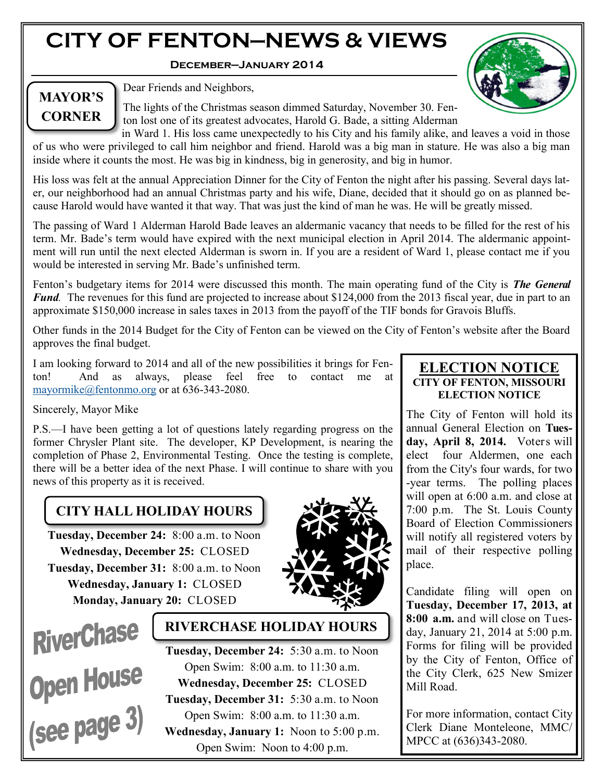# **CITY OF FENTON—NEWS & VIEWS**

**December—January 2014**



# **MAYOR'S CORNER**

Dear Friends and Neighbors,

The lights of the Christmas season dimmed Saturday, November 30. Fenton lost one of its greatest advocates, Harold G. Bade, a sitting Alderman

in Ward 1. His loss came unexpectedly to his City and his family alike, and leaves a void in those of us who were privileged to call him neighbor and friend. Harold was a big man in stature. He was also a big man inside where it counts the most. He was big in kindness, big in generosity, and big in humor.

His loss was felt at the annual Appreciation Dinner for the City of Fenton the night after his passing. Several days later, our neighborhood had an annual Christmas party and his wife, Diane, decided that it should go on as planned because Harold would have wanted it that way. That was just the kind of man he was. He will be greatly missed.

The passing of Ward 1 Alderman Harold Bade leaves an aldermanic vacancy that needs to be filled for the rest of his term. Mr. Bade's term would have expired with the next municipal election in April 2014. The aldermanic appointment will run until the next elected Alderman is sworn in. If you are a resident of Ward 1, please contact me if you would be interested in serving Mr. Bade's unfinished term.

Fenton's budgetary items for 2014 were discussed this month. The main operating fund of the City is *The General Fund*. The revenues for this fund are projected to increase about \$124,000 from the 2013 fiscal year, due in part to an approximate \$150,000 increase in sales taxes in 2013 from the payoff of the TIF bonds for Gravois Bluffs.

Other funds in the 2014 Budget for the City of Fenton can be viewed on the City of Fenton's website after the Board approves the final budget.

I am looking forward to 2014 and all of the new possibilities it brings for Fenton! And as always, please feel free to contact me at [mayormike@fentonmo.org](mailto:mayormike@fentonmo.org) or at 636-343-2080.

#### Sincerely, Mayor Mike

P.S.—I have been getting a lot of questions lately regarding progress on the former Chrysler Plant site. The developer, KP Development, is nearing the completion of Phase 2, Environmental Testing. Once the testing is complete, there will be a better idea of the next Phase. I will continue to share with you news of this property as it is received.

## **CITY HALL HOLIDAY HOURS**

**Tuesday, December 24:** 8:00 a.m. to Noon **Wednesday, December 25:** CLOSED **Tuesday, December 31:** 8:00 a.m. to Noon **Wednesday, January 1:** CLOSED **Monday, January 20:** CLOSED





## **RIVERCHASE HOLIDAY HOURS**

**Tuesday, December 24:** 5:30 a.m. to Noon Open Swim: 8:00 a.m. to 11:30 a.m. **Wednesday, December 25:** CLOSED **Tuesday, December 31:** 5:30 a.m. to Noon Open Swim: 8:00 a.m. to 11:30 a.m. **Wednesday, January 1:** Noon to 5:00 p.m. Open Swim: Noon to 4:00 p.m.

### **ELECTION NOTICE CITY OF FENTON, MISSOURI ELECTION NOTICE**

The City of Fenton will hold its annual General Election on **Tuesday, April 8, 2014.** Voters will elect four Aldermen, one each from the City's four wards, for two -year terms. The polling places will open at 6:00 a.m. and close at 7:00 p.m. The St. Louis County Board of Election Commissioners will notify all registered voters by mail of their respective polling place.

Candidate filing will open on **Tuesday, December 17, 2013, at 8:00 a.m.** and will close on Tuesday, January 21, 2014 at 5:00 p.m. Forms for filing will be provided by the City of Fenton, Office of the City Clerk, 625 New Smizer Mill Road.

For more information, contact City Clerk Diane Monteleone, MMC/ MPCC at (636)343-2080.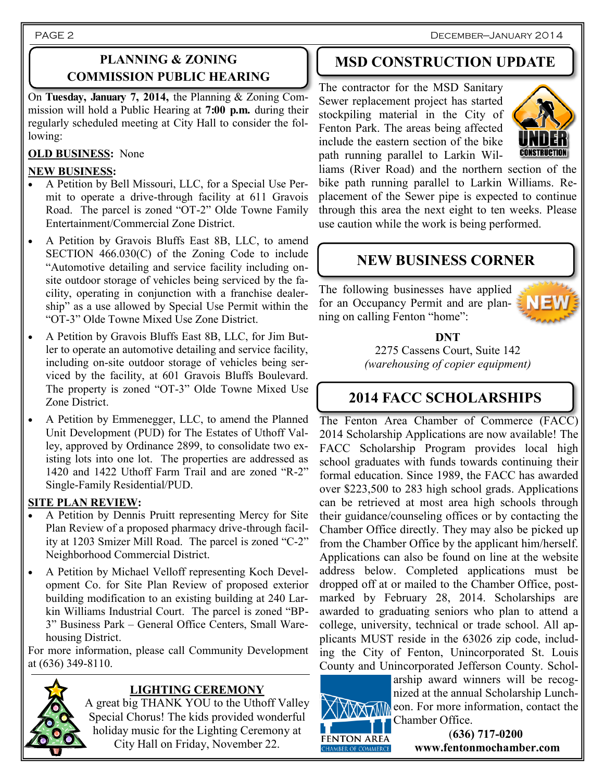PAGE 2

## **PLANNING & ZONING COMMISSION PUBLIC HEARING**

On **Tuesday, January 7, 2014,** the Planning & Zoning Commission will hold a Public Hearing at **7:00 p.m.** during their regularly scheduled meeting at City Hall to consider the following:

## **OLD BUSINESS:** None

### **NEW BUSINESS:**

- A Petition by Bell Missouri, LLC, for a Special Use Permit to operate a drive-through facility at 611 Gravois Road. The parcel is zoned "OT-2" Olde Towne Family Entertainment/Commercial Zone District.
- A Petition by Gravois Bluffs East 8B, LLC, to amend SECTION 466.030(C) of the Zoning Code to include "Automotive detailing and service facility including onsite outdoor storage of vehicles being serviced by the facility, operating in conjunction with a franchise dealership" as a use allowed by Special Use Permit within the "OT-3" Olde Towne Mixed Use Zone District.
- A Petition by Gravois Bluffs East 8B, LLC, for Jim Butler to operate an automotive detailing and service facility, including on-site outdoor storage of vehicles being serviced by the facility, at 601 Gravois Bluffs Boulevard. The property is zoned "OT-3" Olde Towne Mixed Use Zone District.
- A Petition by Emmenegger, LLC, to amend the Planned Unit Development (PUD) for The Estates of Uthoff Valley, approved by Ordinance 2899, to consolidate two existing lots into one lot. The properties are addressed as 1420 and 1422 Uthoff Farm Trail and are zoned "R-2" Single-Family Residential/PUD.

### **SITE PLAN REVIEW:**

- A Petition by Dennis Pruitt representing Mercy for Site Plan Review of a proposed pharmacy drive-through facility at 1203 Smizer Mill Road. The parcel is zoned "C-2" Neighborhood Commercial District.
- A Petition by Michael Velloff representing Koch Development Co. for Site Plan Review of proposed exterior building modification to an existing building at 240 Larkin Williams Industrial Court. The parcel is zoned "BP-3" Business Park – General Office Centers, Small Warehousing District.

For more information, please call Community Development at (636) 349-8110.



## **LIGHTING CEREMONY**

A great big THANK YOU to the Uthoff Valley Special Chorus! The kids provided wonderful holiday music for the Lighting Ceremony at City Hall on Friday, November 22.

# **MSD CONSTRUCTION UPDATE**

The contractor for the MSD Sanitary Sewer replacement project has started stockpiling material in the City of Fenton Park. The areas being affected include the eastern section of the bike path running parallel to Larkin Wil-



liams (River Road) and the northern section of the bike path running parallel to Larkin Williams. Replacement of the Sewer pipe is expected to continue through this area the next eight to ten weeks. Please use caution while the work is being performed.

## **NEW BUSINESS CORNER**

The following businesses have applied for an Occupancy Permit and are planning on calling Fenton "home":



### **DNT**

2275 Cassens Court, Suite 142 *(warehousing of copier equipment)*

## **2014 FACC SCHOLARSHIPS**

The Fenton Area Chamber of Commerce (FACC) 2014 Scholarship Applications are now available! The FACC Scholarship Program provides local high school graduates with funds towards continuing their formal education. Since 1989, the FACC has awarded over \$223,500 to 283 high school grads. Applications can be retrieved at most area high schools through their guidance/counseling offices or by contacting the Chamber Office directly. They may also be picked up from the Chamber Office by the applicant him/herself. Applications can also be found on line at the website address below. Completed applications must be dropped off at or mailed to the Chamber Office, postmarked by February 28, 2014. Scholarships are awarded to graduating seniors who plan to attend a college, university, technical or trade school. All applicants MUST reside in the 63026 zip code, including the City of Fenton, Unincorporated St. Louis County and Unincorporated Jefferson County. Schol-



arship award winners will be recognized at the annual Scholarship Lunch-**EXTIME** con. For more information, contact the Chamber Office.

> (**636) 717-0200 www.fentonmochamber.com**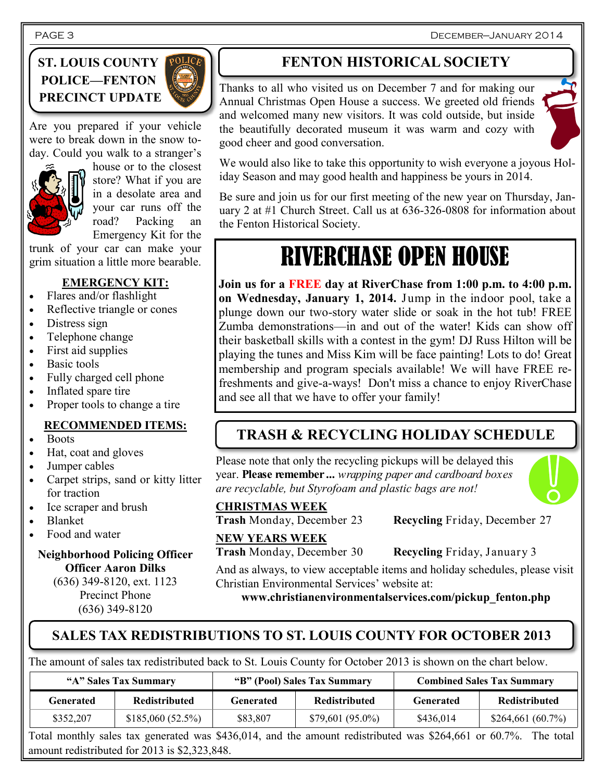December—January 2014

## **ST. LOUIS COUNTY POLICE—FENTON PRECINCT UPDATE**



Are you prepared if your vehicle were to break down in the snow today. Could you walk to a stranger's



house or to the closest store? What if you are in a desolate area and your car runs off the road? Packing an Emergency Kit for the

trunk of your car can make your grim situation a little more bearable.

## **EMERGENCY KIT:**

- Flares and/or flashlight
- Reflective triangle or cones
- Distress sign
- Telephone change
- First aid supplies
- Basic tools
- Fully charged cell phone
- Inflated spare tire
- Proper tools to change a tire

### **RECOMMENDED ITEMS:**

- Boots
- Hat, coat and gloves
- Jumper cables
- Carpet strips, sand or kitty litter for traction
- Ice scraper and brush
- Blanket
- Food and water

## **Neighborhood Policing Officer Officer Aaron Dilks**

(636) 349-8120, ext. 1123 Precinct Phone (636) 349-8120

# **FENTON HISTORICAL SOCIETY**

Thanks to all who visited us on December 7 and for making our Annual Christmas Open House a success. We greeted old friends and welcomed many new visitors. It was cold outside, but inside the beautifully decorated museum it was warm and cozy with good cheer and good conversation.



We would also like to take this opportunity to wish everyone a joyous Holiday Season and may good health and happiness be yours in 2014.

Be sure and join us for our first meeting of the new year on Thursday, January 2 at #1 Church Street. Call us at 636-326-0808 for information about the Fenton Historical Society.

# RIVERCHASE OPEN HOUSE

**Join us for a FREE day at RiverChase from 1:00 p.m. to 4:00 p.m. on Wednesday, January 1, 2014.** Jump in the indoor pool, take a plunge down our two-story water slide or soak in the hot tub! FREE Zumba demonstrations—in and out of the water! Kids can show off their basketball skills with a contest in the gym! DJ Russ Hilton will be playing the tunes and Miss Kim will be face painting! Lots to do! Great membership and program specials available! We will have FREE refreshments and give-a-ways! Don't miss a chance to enjoy RiverChase and see all that we have to offer your family!

# **TRASH & RECYCLING HOLIDAY SCHEDULE**

Please note that only the recycling pickups will be delayed this year. **Please remember ...** *wrapping paper and cardboard boxes are recyclable, but Styrofoam and plastic bags are not!* 



**Trash** Monday, December 23 **Recycling** Friday, December 27

**NEW YEARS WEEK**

**Trash** Monday, December 30 **Recycling** Friday, January 3

And as always, to view acceptable items and holiday schedules, please visit Christian Environmental Services' website at:

**www.christianenvironmentalservices.com/pickup\_fenton.php**

## **SALES TAX REDISTRIBUTIONS TO ST. LOUIS COUNTY FOR OCTOBER 2013**

The amount of sales tax redistributed back to St. Louis County for October 2013 is shown on the chart below.

| "A" Sales Tax Summary |                      | "B" (Pool) Sales Tax Summary |                    | <b>Combined Sales Tax Summary</b> |                      |
|-----------------------|----------------------|------------------------------|--------------------|-----------------------------------|----------------------|
| Generated             | <b>Redistributed</b> | Generated                    | Redistributed      | Generated                         | <b>Redistributed</b> |
| \$352,207             | \$185,060(52.5%)     | \$83,807                     | $$79,601 (95.0\%)$ | \$436,014                         | \$264,661(60.7%)     |

Total monthly sales tax generated was \$436,014, and the amount redistributed was \$264,661 or 60.7%. The total amount redistributed for 2013 is \$2,323,848.

PAGE 3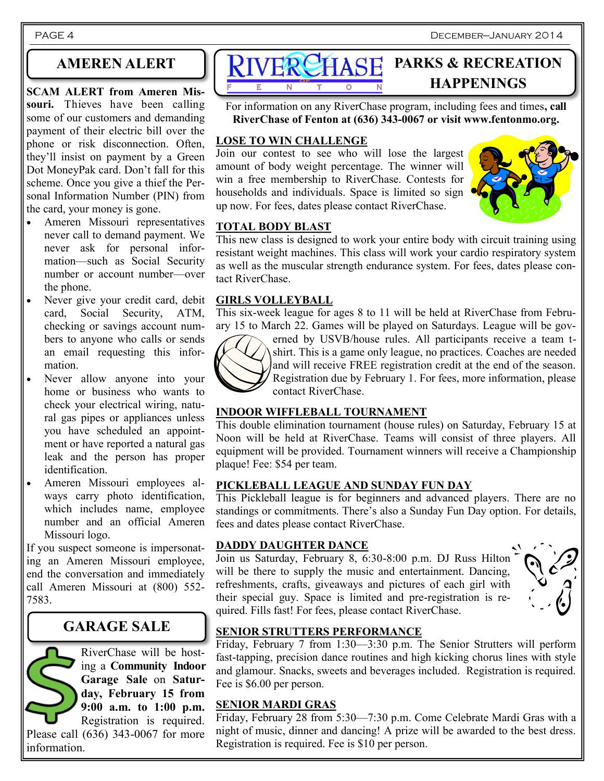## **AMEREN ALERT**

**SCAM ALERT from Ameren Missouri.** Thieves have been calling some of our customers and demanding payment of their electric bill over the phone or risk disconnection. Often, they'll insist on payment by a Green Dot MoneyPak card. Don't fall for this scheme. Once you give a thief the Personal Information Number (PIN) from the card, your money is gone.

- Ameren Missouri representatives never call to demand payment. We never ask for personal information—such as Social Security number or account number—over the phone.
- Never give your credit card, debit card, Social Security, ATM, checking or savings account numbers to anyone who calls or sends an email requesting this information.
- Never allow anyone into your home or business who wants to check your electrical wiring, natural gas pipes or appliances unless you have scheduled an appointment or have reported a natural gas leak and the person has proper identification.
- Ameren Missouri employees always carry photo identification, which includes name, employee number and an official Ameren Missouri logo.

If you suspect someone is impersonating an Ameren Missouri employee, end the conversation and immediately call Ameren Missouri at (800) 552- 7583.

## **GARAGE SALE**

RiverChase will be hosting a **Community Indoor Garage Sale** on **Saturday, February 15 from 9:00 a.m. to 1:00 p.m.**  Registration is required.

Please call (636) 343-0067 for more information.



For information on any RiverChase program, including fees and times**, call RiverChase of Fenton at (636) 343-0067 or visit www.fentonmo.org.**

#### **LOSE TO WIN CHALLENGE**

Join our contest to see who will lose the largest amount of body weight percentage. The winner will win a free membership to RiverChase. Contests for households and individuals. Space is limited so sign up now. For fees, dates please contact RiverChase.



#### **TOTAL BODY BLAST**

This new class is designed to work your entire body with circuit training using resistant weight machines. This class will work your cardio respiratory system as well as the muscular strength endurance system. For fees, dates please contact RiverChase.

#### **GIRLS VOLLEYBALL**

This six-week league for ages 8 to 11 will be held at RiverChase from February 15 to March 22. Games will be played on Saturdays. League will be gov-



erned by USVB/house rules. All participants receive a team tshirt. This is a game only league, no practices. Coaches are needed and will receive FREE registration credit at the end of the season. Registration due by February 1. For fees, more information, please contact RiverChase.

#### **INDOOR WIFFLEBALL TOURNAMENT**

This double elimination tournament (house rules) on Saturday, February 15 at Noon will be held at RiverChase. Teams will consist of three players. All equipment will be provided. Tournament winners will receive a Championship plaque! Fee: \$54 per team.

#### **PICKLEBALL LEAGUE AND SUNDAY FUN DAY**

This Pickleball league is for beginners and advanced players. There are no standings or commitments. There's also a Sunday Fun Day option. For details, fees and dates please contact RiverChase.

#### **DADDY DAUGHTER DANCE**

Join us Saturday, February 8, 6:30-8:00 p.m. DJ Russ Hilton will be there to supply the music and entertainment. Dancing, refreshments, crafts, giveaways and pictures of each girl with their special guy. Space is limited and pre-registration is required. Fills fast! For fees, please contact RiverChase.



## **SENIOR STRUTTERS PERFORMANCE**

Friday, February 7 from 1:30—3:30 p.m. The Senior Strutters will perform fast-tapping, precision dance routines and high kicking chorus lines with style and glamour. Snacks, sweets and beverages included. Registration is required. Fee is \$6.00 per person.

#### **SENIOR MARDI GRAS**

Friday, February 28 from 5:30—7:30 p.m. Come Celebrate Mardi Gras with a night of music, dinner and dancing! A prize will be awarded to the best dress. Registration is required. Fee is \$10 per person.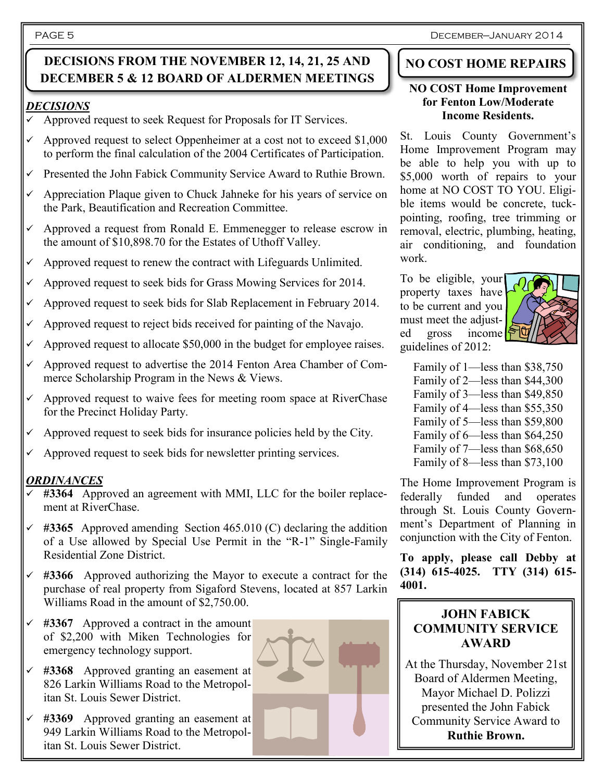#### PAGE 5

## **DECISIONS FROM THE NOVEMBER 12, 14, 21, 25 AND DECEMBER 5 & 12 BOARD OF ALDERMEN MEETINGS**

### *DECISIONS*

- $\checkmark$  Approved request to seek Request for Proposals for IT Services.
- $\checkmark$  Approved request to select Oppenheimer at a cost not to exceed \$1,000 to perform the final calculation of the 2004 Certificates of Participation.
- Presented the John Fabick Community Service Award to Ruthie Brown.
- $\checkmark$  Appreciation Plaque given to Chuck Jahneke for his years of service on the Park, Beautification and Recreation Committee.
- Approved a request from Ronald E. Emmenegger to release escrow in the amount of \$10,898.70 for the Estates of Uthoff Valley.
- Approved request to renew the contract with Lifeguards Unlimited.
- Approved request to seek bids for Grass Mowing Services for 2014.
- Approved request to seek bids for Slab Replacement in February 2014.
- Approved request to reject bids received for painting of the Navajo.
- Approved request to allocate \$50,000 in the budget for employee raises.
- Approved request to advertise the 2014 Fenton Area Chamber of Commerce Scholarship Program in the News & Views.
- Approved request to waive fees for meeting room space at RiverChase for the Precinct Holiday Party.
- $\checkmark$  Approved request to seek bids for insurance policies held by the City.
- Approved request to seek bids for newsletter printing services.

## *ORDINANCES*

- **#3364** Approved an agreement with MMI, LLC for the boiler replacement at RiverChase.
- **#3365** Approved amending Section 465.010 (C) declaring the addition of a Use allowed by Special Use Permit in the "R-1" Single-Family Residential Zone District.
- **#3366** Approved authorizing the Mayor to execute a contract for the purchase of real property from Sigaford Stevens, located at 857 Larkin Williams Road in the amount of \$2,750.00.
- **#3367** Approved a contract in the amount of \$2,200 with Miken Technologies for emergency technology support.
- **#3368** Approved granting an easement at 826 Larkin Williams Road to the Metropolitan St. Louis Sewer District.
- **#3369** Approved granting an easement at 949 Larkin Williams Road to the Metropolitan St. Louis Sewer District.



## **NO COST HOME REPAIRS**

#### **NO COST Home Improvement for Fenton Low/Moderate Income Residents.**

St. Louis County Government's Home Improvement Program may be able to help you with up to \$5,000 worth of repairs to your home at NO COST TO YOU. Eligible items would be concrete, tuckpointing, roofing, tree trimming or removal, electric, plumbing, heating, air conditioning, and foundation work.

To be eligible, your property taxes have to be current and you must meet the adjusted gross income<sup>[5</sup>] guidelines of 2012:



Family of 1—less than \$38,750 Family of 2—less than \$44,300 Family of 3—less than \$49,850 Family of 4—less than \$55,350 Family of 5—less than \$59,800 Family of 6—less than \$64,250 Family of 7—less than \$68,650 Family of 8—less than \$73,100

The Home Improvement Program is federally funded and operates through St. Louis County Government's Department of Planning in conjunction with the City of Fenton.

**To apply, please call Debby at (314) 615-4025. TTY (314) 615- 4001.**

## **JOHN FABICK COMMUNITY SERVICE AWARD**

At the Thursday, November 21st Board of Aldermen Meeting, Mayor Michael D. Polizzi presented the John Fabick Community Service Award to **Ruthie Brown.**